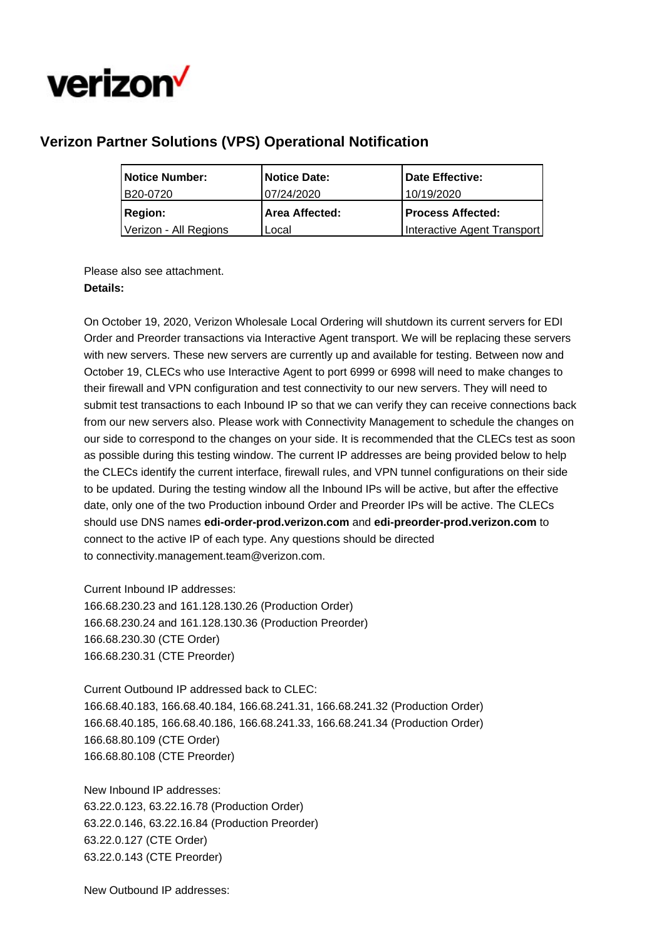

## **Verizon Partner Solutions (VPS) Operational Notification**

| Notice Number:        | <b>Notice Date:</b>   | Date Effective:             |
|-----------------------|-----------------------|-----------------------------|
| B20-0720              | 07/24/2020            | 10/19/2020                  |
| <b>Region:</b>        | <b>Area Affected:</b> | <b>Process Affected:</b>    |
| Verizon - All Regions | Local                 | Interactive Agent Transport |

Please also see attachment. **Details:**

On October 19, 2020, Verizon Wholesale Local Ordering will shutdown its current servers for EDI Order and Preorder transactions via Interactive Agent transport. We will be replacing these servers with new servers. These new servers are currently up and available for testing. Between now and October 19, CLECs who use Interactive Agent to port 6999 or 6998 will need to make changes to their firewall and VPN configuration and test connectivity to our new servers. They will need to submit test transactions to each Inbound IP so that we can verify they can receive connections back from our new servers also. Please work with Connectivity Management to schedule the changes on our side to correspond to the changes on your side. It is recommended that the CLECs test as soon as possible during this testing window. The current IP addresses are being provided below to help the CLECs identify the current interface, firewall rules, and VPN tunnel configurations on their side to be updated. During the testing window all the Inbound IPs will be active, but after the effective date, only one of the two Production inbound Order and Preorder IPs will be active. The CLECs should use DNS names **edi-order-prod.verizon.com** and **edi-preorder-prod.verizon.com** to connect to the active IP of each type. Any questions should be directed to connectivity.management.team@verizon.com.

Current Inbound IP addresses:

166.68.230.23 and 161.128.130.26 (Production Order) 166.68.230.24 and 161.128.130.36 (Production Preorder) 166.68.230.30 (CTE Order) 166.68.230.31 (CTE Preorder)

Current Outbound IP addressed back to CLEC: 166.68.40.183, 166.68.40.184, 166.68.241.31, 166.68.241.32 (Production Order) 166.68.40.185, 166.68.40.186, 166.68.241.33, 166.68.241.34 (Production Order) 166.68.80.109 (CTE Order) 166.68.80.108 (CTE Preorder)

New Inbound IP addresses: 63.22.0.123, 63.22.16.78 (Production Order) 63.22.0.146, 63.22.16.84 (Production Preorder) 63.22.0.127 (CTE Order) 63.22.0.143 (CTE Preorder)

New Outbound IP addresses: